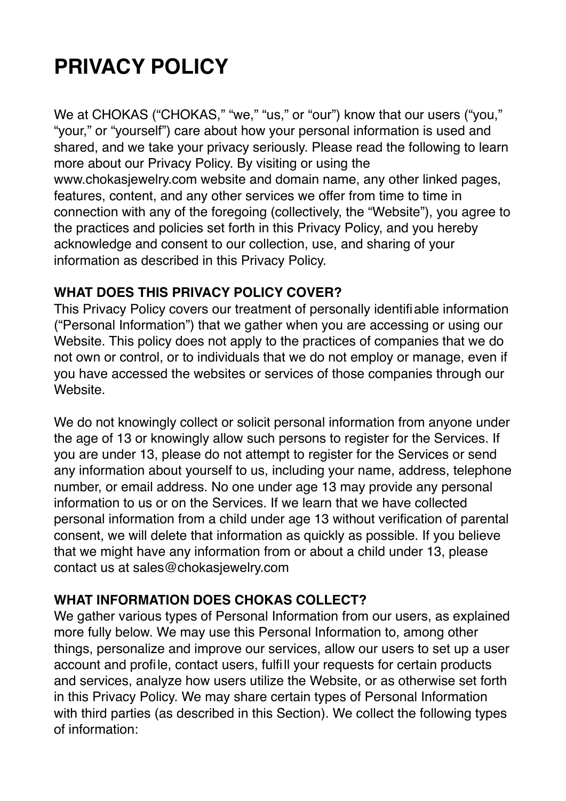# **PRIVACY POLICY**

We at CHOKAS ("CHOKAS," "we," "us," or "our") know that our users ("you," "your," or "yourself") care about how your personal information is used and shared, and we take your privacy seriously. Please read the following to learn more about our Privacy Policy. By visiting or using the www.chokasjewelry.com website and domain name, any other linked pages, features, content, and any other services we offer from time to time in connection with any of the foregoing (collectively, the "Website"), you agree to the practices and policies set forth in this Privacy Policy, and you hereby acknowledge and consent to our collection, use, and sharing of your information as described in this Privacy Policy.

#### **WHAT DOES THIS PRIVACY POLICY COVER?**

This Privacy Policy covers our treatment of personally identifiable information ("Personal Information") that we gather when you are accessing or using our Website. This policy does not apply to the practices of companies that we do not own or control, or to individuals that we do not employ or manage, even if you have accessed the websites or services of those companies through our Website.

We do not knowingly collect or solicit personal information from anyone under the age of 13 or knowingly allow such persons to register for the Services. If you are under 13, please do not attempt to register for the Services or send any information about yourself to us, including your name, address, telephone number, or email address. No one under age 13 may provide any personal information to us or on the Services. If we learn that we have collected personal information from a child under age 13 without verification of parental consent, we will delete that information as quickly as possible. If you believe that we might have any information from or about a child under 13, please contact us at sales@chokasjewelry.com

## **WHAT INFORMATION DOES CHOKAS COLLECT?**

We gather various types of Personal Information from our users, as explained more fully below. We may use this Personal Information to, among other things, personalize and improve our services, allow our users to set up a user account and profile, contact users, fulfill your requests for certain products and services, analyze how users utilize the Website, or as otherwise set forth in this Privacy Policy. We may share certain types of Personal Information with third parties (as described in this Section). We collect the following types of information: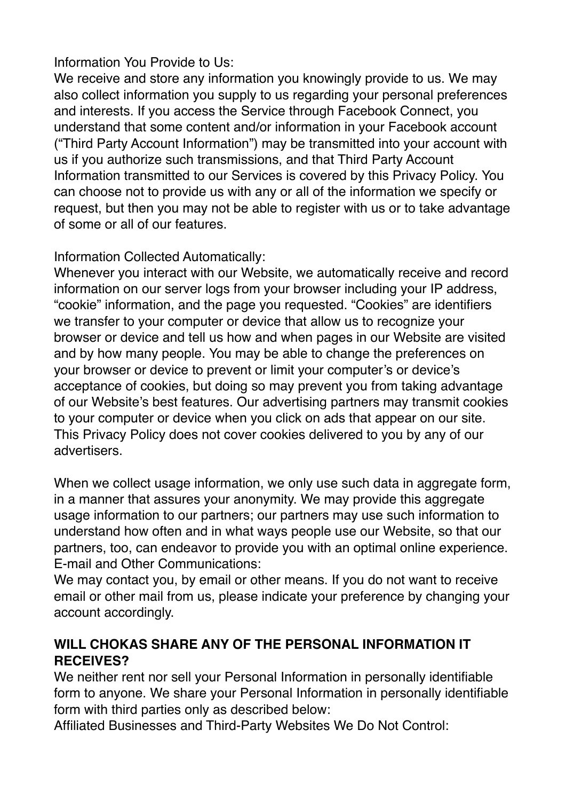## Information You Provide to Us:

We receive and store any information you knowingly provide to us. We may also collect information you supply to us regarding your personal preferences and interests. If you access the Service through Facebook Connect, you understand that some content and/or information in your Facebook account ("Third Party Account Information") may be transmitted into your account with us if you authorize such transmissions, and that Third Party Account Information transmitted to our Services is covered by this Privacy Policy. You can choose not to provide us with any or all of the information we specify or request, but then you may not be able to register with us or to take advantage of some or all of our features.

## Information Collected Automatically:

Whenever you interact with our Website, we automatically receive and record information on our server logs from your browser including your IP address, "cookie" information, and the page you requested. "Cookies" are identifiers we transfer to your computer or device that allow us to recognize your browser or device and tell us how and when pages in our Website are visited and by how many people. You may be able to change the preferences on your browser or device to prevent or limit your computer's or device's acceptance of cookies, but doing so may prevent you from taking advantage of our Website's best features. Our advertising partners may transmit cookies to your computer or device when you click on ads that appear on our site. This Privacy Policy does not cover cookies delivered to you by any of our advertisers.

When we collect usage information, we only use such data in aggregate form, in a manner that assures your anonymity. We may provide this aggregate usage information to our partners; our partners may use such information to understand how often and in what ways people use our Website, so that our partners, too, can endeavor to provide you with an optimal online experience. E-mail and Other Communications:

We may contact you, by email or other means. If you do not want to receive email or other mail from us, please indicate your preference by changing your account accordingly.

## **WILL CHOKAS SHARE ANY OF THE PERSONAL INFORMATION IT RECEIVES?**

We neither rent nor sell your Personal Information in personally identifiable form to anyone. We share your Personal Information in personally identifiable form with third parties only as described below:

Affiliated Businesses and Third-Party Websites We Do Not Control: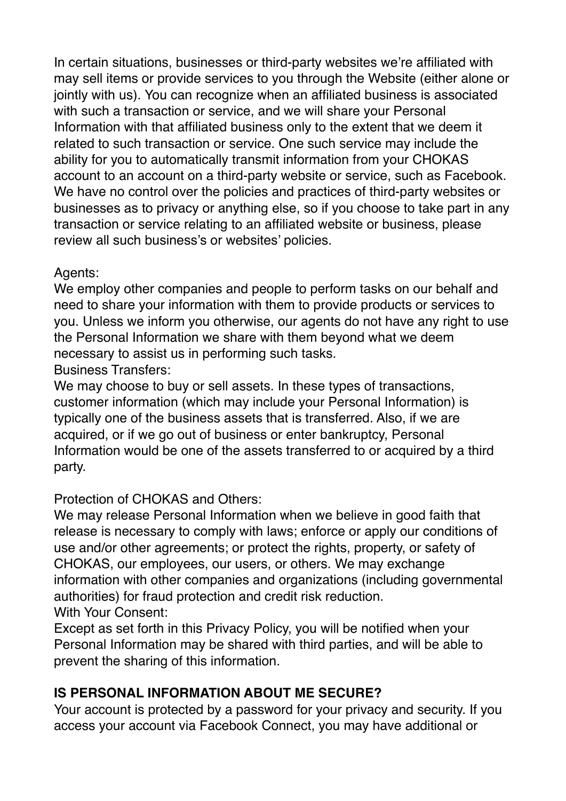In certain situations, businesses or third-party websites we're affiliated with may sell items or provide services to you through the Website (either alone or jointly with us). You can recognize when an affiliated business is associated with such a transaction or service, and we will share your Personal Information with that affiliated business only to the extent that we deem it related to such transaction or service. One such service may include the ability for you to automatically transmit information from your CHOKAS account to an account on a third-party website or service, such as Facebook. We have no control over the policies and practices of third-party websites or businesses as to privacy or anything else, so if you choose to take part in any transaction or service relating to an affiliated website or business, please review all such business's or websites' policies.

## Agents:

We employ other companies and people to perform tasks on our behalf and need to share your information with them to provide products or services to you. Unless we inform you otherwise, our agents do not have any right to use the Personal Information we share with them beyond what we deem necessary to assist us in performing such tasks.

Business Transfers:

We may choose to buy or sell assets. In these types of transactions, customer information (which may include your Personal Information) is typically one of the business assets that is transferred. Also, if we are acquired, or if we go out of business or enter bankruptcy, Personal Information would be one of the assets transferred to or acquired by a third party.

# Protection of CHOKAS and Others:

We may release Personal Information when we believe in good faith that release is necessary to comply with laws; enforce or apply our conditions of use and/or other agreements; or protect the rights, property, or safety of CHOKAS, our employees, our users, or others. We may exchange information with other companies and organizations (including governmental authorities) for fraud protection and credit risk reduction. With Your Consent:

Except as set forth in this Privacy Policy, you will be notified when your Personal Information may be shared with third parties, and will be able to prevent the sharing of this information.

# **IS PERSONAL INFORMATION ABOUT ME SECURE?**

Your account is protected by a password for your privacy and security. If you access your account via Facebook Connect, you may have additional or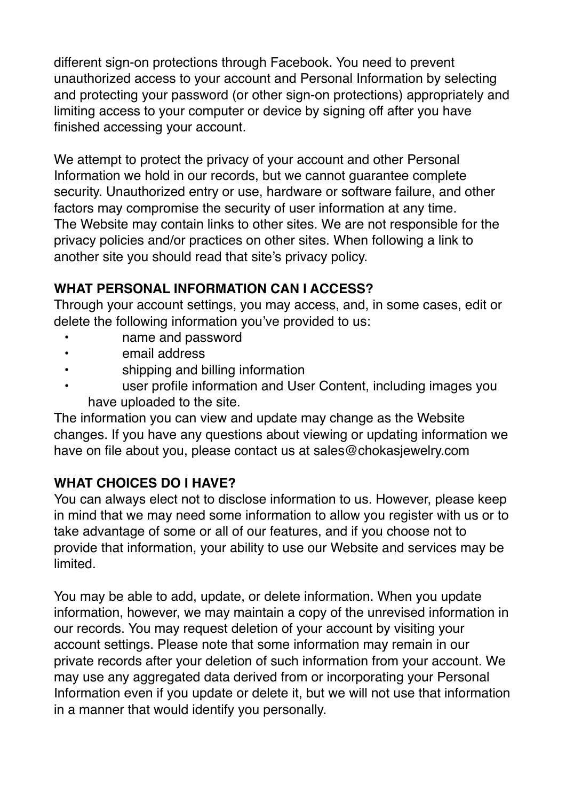different sign-on protections through Facebook. You need to prevent unauthorized access to your account and Personal Information by selecting and protecting your password (or other sign-on protections) appropriately and limiting access to your computer or device by signing off after you have finished accessing your account.

We attempt to protect the privacy of your account and other Personal Information we hold in our records, but we cannot guarantee complete security. Unauthorized entry or use, hardware or software failure, and other factors may compromise the security of user information at any time. The Website may contain links to other sites. We are not responsible for the privacy policies and/or practices on other sites. When following a link to another site you should read that site's privacy policy.

## **WHAT PERSONAL INFORMATION CAN I ACCESS?**

Through your account settings, you may access, and, in some cases, edit or delete the following information you've provided to us:

- name and password
- email address
- shipping and billing information
- user profile information and User Content, including images you have uploaded to the site.

The information you can view and update may change as the Website changes. If you have any questions about viewing or updating information we have on file about you, please contact us at sales@chokasjewelry.com

## **WHAT CHOICES DO I HAVE?**

You can always elect not to disclose information to us. However, please keep in mind that we may need some information to allow you register with us or to take advantage of some or all of our features, and if you choose not to provide that information, your ability to use our Website and services may be limited.

You may be able to add, update, or delete information. When you update information, however, we may maintain a copy of the unrevised information in our records. You may request deletion of your account by visiting your account settings. Please note that some information may remain in our private records after your deletion of such information from your account. We may use any aggregated data derived from or incorporating your Personal Information even if you update or delete it, but we will not use that information in a manner that would identify you personally.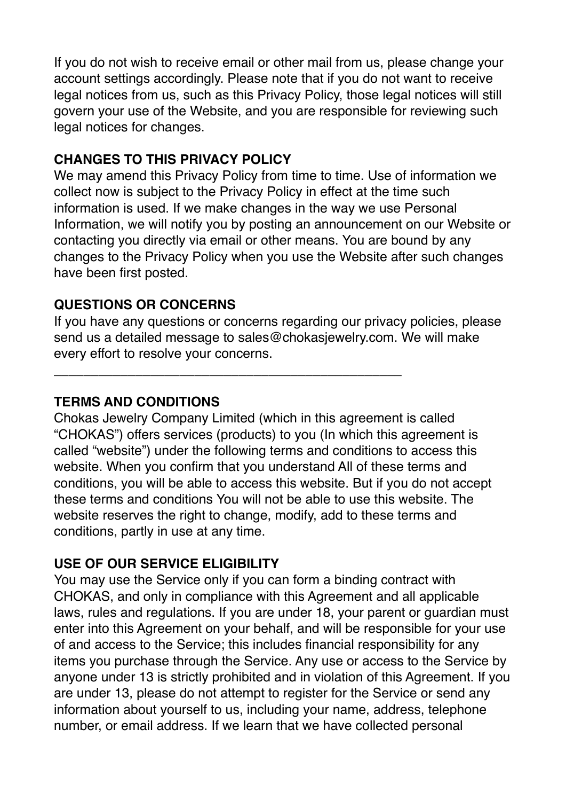If you do not wish to receive email or other mail from us, please change your account settings accordingly. Please note that if you do not want to receive legal notices from us, such as this Privacy Policy, those legal notices will still govern your use of the Website, and you are responsible for reviewing such legal notices for changes.

#### **CHANGES TO THIS PRIVACY POLICY**

We may amend this Privacy Policy from time to time. Use of information we collect now is subject to the Privacy Policy in effect at the time such information is used. If we make changes in the way we use Personal Information, we will notify you by posting an announcement on our Website or contacting you directly via email or other means. You are bound by any changes to the Privacy Policy when you use the Website after such changes have been first posted.

## **QUESTIONS OR CONCERNS**

If you have any questions or concerns regarding our privacy policies, please send us a detailed message to sales@chokasjewelry.com. We will make every effort to resolve your concerns.

\_\_\_\_\_\_\_\_\_\_\_\_\_\_\_\_\_\_\_\_\_\_\_\_\_\_\_\_\_\_\_\_\_\_\_\_\_\_\_\_\_\_\_\_\_\_\_

#### **TERMS AND CONDITIONS**

Chokas Jewelry Company Limited (which in this agreement is called "CHOKAS") offers services (products) to you (In which this agreement is called "website") under the following terms and conditions to access this website. When you confirm that you understand All of these terms and conditions, you will be able to access this website. But if you do not accept these terms and conditions You will not be able to use this website. The website reserves the right to change, modify, add to these terms and conditions, partly in use at any time.

#### **USE OF OUR SERVICE ELIGIBILITY**

You may use the Service only if you can form a binding contract with CHOKAS, and only in compliance with this Agreement and all applicable laws, rules and regulations. If you are under 18, your parent or guardian must enter into this Agreement on your behalf, and will be responsible for your use of and access to the Service; this includes financial responsibility for any items you purchase through the Service. Any use or access to the Service by anyone under 13 is strictly prohibited and in violation of this Agreement. If you are under 13, please do not attempt to register for the Service or send any information about yourself to us, including your name, address, telephone number, or email address. If we learn that we have collected personal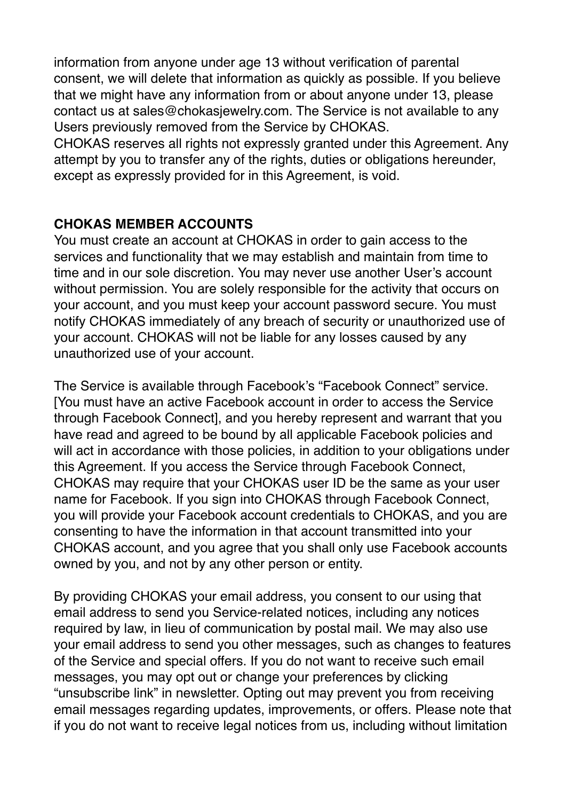information from anyone under age 13 without verification of parental consent, we will delete that information as quickly as possible. If you believe that we might have any information from or about anyone under 13, please contact us at sales@chokasjewelry.com. The Service is not available to any Users previously removed from the Service by CHOKAS.

CHOKAS reserves all rights not expressly granted under this Agreement. Any attempt by you to transfer any of the rights, duties or obligations hereunder, except as expressly provided for in this Agreement, is void.

#### **CHOKAS MEMBER ACCOUNTS**

You must create an account at CHOKAS in order to gain access to the services and functionality that we may establish and maintain from time to time and in our sole discretion. You may never use another User's account without permission. You are solely responsible for the activity that occurs on your account, and you must keep your account password secure. You must notify CHOKAS immediately of any breach of security or unauthorized use of your account. CHOKAS will not be liable for any losses caused by any unauthorized use of your account.

The Service is available through Facebook's "Facebook Connect" service. [You must have an active Facebook account in order to access the Service through Facebook Connect], and you hereby represent and warrant that you have read and agreed to be bound by all applicable Facebook policies and will act in accordance with those policies, in addition to your obligations under this Agreement. If you access the Service through Facebook Connect, CHOKAS may require that your CHOKAS user ID be the same as your user name for Facebook. If you sign into CHOKAS through Facebook Connect, you will provide your Facebook account credentials to CHOKAS, and you are consenting to have the information in that account transmitted into your CHOKAS account, and you agree that you shall only use Facebook accounts owned by you, and not by any other person or entity.

By providing CHOKAS your email address, you consent to our using that email address to send you Service-related notices, including any notices required by law, in lieu of communication by postal mail. We may also use your email address to send you other messages, such as changes to features of the Service and special offers. If you do not want to receive such email messages, you may opt out or change your preferences by clicking "unsubscribe link" in newsletter. Opting out may prevent you from receiving email messages regarding updates, improvements, or offers. Please note that if you do not want to receive legal notices from us, including without limitation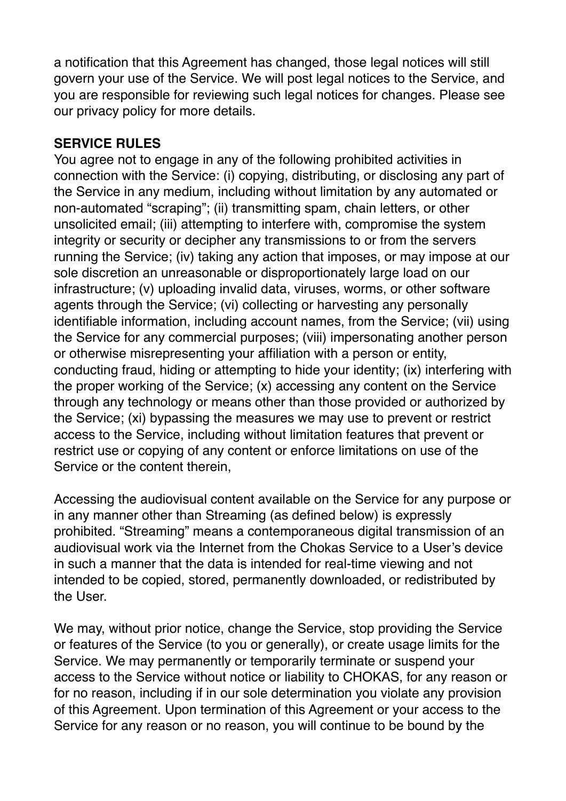a notification that this Agreement has changed, those legal notices will still govern your use of the Service. We will post legal notices to the Service, and you are responsible for reviewing such legal notices for changes. Please see our privacy policy for more details.

## **SERVICE RULES**

You agree not to engage in any of the following prohibited activities in connection with the Service: (i) copying, distributing, or disclosing any part of the Service in any medium, including without limitation by any automated or non-automated "scraping"; (ii) transmitting spam, chain letters, or other unsolicited email; (iii) attempting to interfere with, compromise the system integrity or security or decipher any transmissions to or from the servers running the Service; (iv) taking any action that imposes, or may impose at our sole discretion an unreasonable or disproportionately large load on our infrastructure; (v) uploading invalid data, viruses, worms, or other software agents through the Service; (vi) collecting or harvesting any personally identifiable information, including account names, from the Service; (vii) using the Service for any commercial purposes; (viii) impersonating another person or otherwise misrepresenting your affiliation with a person or entity, conducting fraud, hiding or attempting to hide your identity; (ix) interfering with the proper working of the Service; (x) accessing any content on the Service through any technology or means other than those provided or authorized by the Service; (xi) bypassing the measures we may use to prevent or restrict access to the Service, including without limitation features that prevent or restrict use or copying of any content or enforce limitations on use of the Service or the content therein,

Accessing the audiovisual content available on the Service for any purpose or in any manner other than Streaming (as defined below) is expressly prohibited. "Streaming" means a contemporaneous digital transmission of an audiovisual work via the Internet from the Chokas Service to a User's device in such a manner that the data is intended for real-time viewing and not intended to be copied, stored, permanently downloaded, or redistributed by the User.

We may, without prior notice, change the Service, stop providing the Service or features of the Service (to you or generally), or create usage limits for the Service. We may permanently or temporarily terminate or suspend your access to the Service without notice or liability to CHOKAS, for any reason or for no reason, including if in our sole determination you violate any provision of this Agreement. Upon termination of this Agreement or your access to the Service for any reason or no reason, you will continue to be bound by the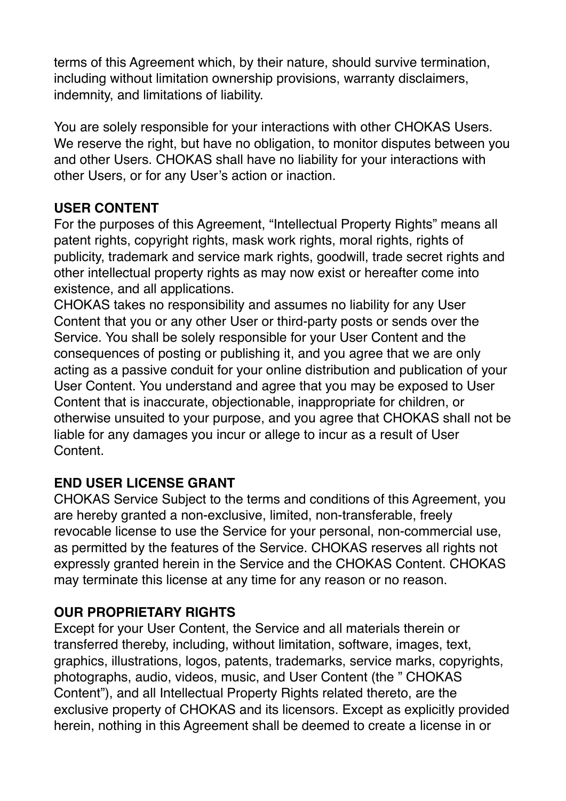terms of this Agreement which, by their nature, should survive termination, including without limitation ownership provisions, warranty disclaimers, indemnity, and limitations of liability.

You are solely responsible for your interactions with other CHOKAS Users. We reserve the right, but have no obligation, to monitor disputes between you and other Users. CHOKAS shall have no liability for your interactions with other Users, or for any User's action or inaction.

## **USER CONTENT**

For the purposes of this Agreement, "Intellectual Property Rights" means all patent rights, copyright rights, mask work rights, moral rights, rights of publicity, trademark and service mark rights, goodwill, trade secret rights and other intellectual property rights as may now exist or hereafter come into existence, and all applications.

CHOKAS takes no responsibility and assumes no liability for any User Content that you or any other User or third-party posts or sends over the Service. You shall be solely responsible for your User Content and the consequences of posting or publishing it, and you agree that we are only acting as a passive conduit for your online distribution and publication of your User Content. You understand and agree that you may be exposed to User Content that is inaccurate, objectionable, inappropriate for children, or otherwise unsuited to your purpose, and you agree that CHOKAS shall not be liable for any damages you incur or allege to incur as a result of User Content.

## **END USER LICENSE GRANT**

CHOKAS Service Subject to the terms and conditions of this Agreement, you are hereby granted a non-exclusive, limited, non-transferable, freely revocable license to use the Service for your personal, non-commercial use, as permitted by the features of the Service. CHOKAS reserves all rights not expressly granted herein in the Service and the CHOKAS Content. CHOKAS may terminate this license at any time for any reason or no reason.

## **OUR PROPRIETARY RIGHTS**

Except for your User Content, the Service and all materials therein or transferred thereby, including, without limitation, software, images, text, graphics, illustrations, logos, patents, trademarks, service marks, copyrights, photographs, audio, videos, music, and User Content (the " CHOKAS Content"), and all Intellectual Property Rights related thereto, are the exclusive property of CHOKAS and its licensors. Except as explicitly provided herein, nothing in this Agreement shall be deemed to create a license in or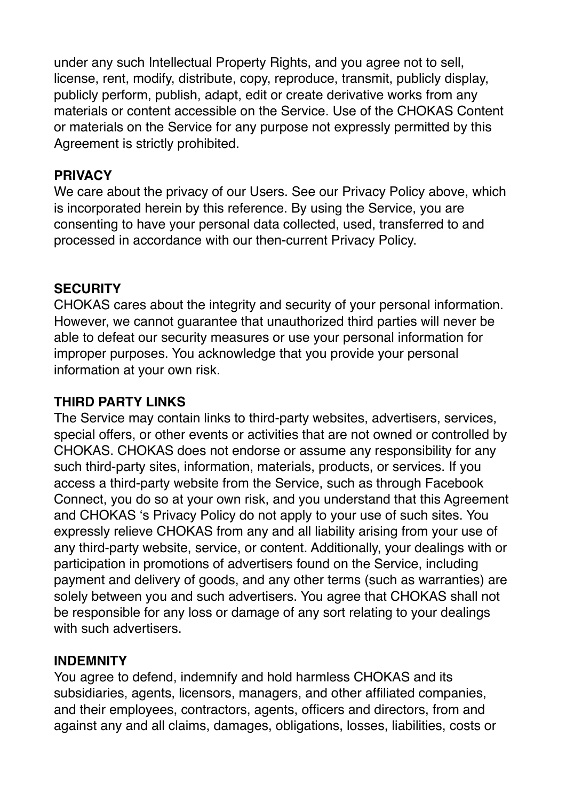under any such Intellectual Property Rights, and you agree not to sell, license, rent, modify, distribute, copy, reproduce, transmit, publicly display, publicly perform, publish, adapt, edit or create derivative works from any materials or content accessible on the Service. Use of the CHOKAS Content or materials on the Service for any purpose not expressly permitted by this Agreement is strictly prohibited.

#### **PRIVACY**

We care about the privacy of our Users. See our Privacy Policy above, which is incorporated herein by this reference. By using the Service, you are consenting to have your personal data collected, used, transferred to and processed in accordance with our then-current Privacy Policy.

#### **SECURITY**

CHOKAS cares about the integrity and security of your personal information. However, we cannot guarantee that unauthorized third parties will never be able to defeat our security measures or use your personal information for improper purposes. You acknowledge that you provide your personal information at your own risk.

#### **THIRD PARTY LINKS**

The Service may contain links to third-party websites, advertisers, services, special offers, or other events or activities that are not owned or controlled by CHOKAS. CHOKAS does not endorse or assume any responsibility for any such third-party sites, information, materials, products, or services. If you access a third-party website from the Service, such as through Facebook Connect, you do so at your own risk, and you understand that this Agreement and CHOKAS 's Privacy Policy do not apply to your use of such sites. You expressly relieve CHOKAS from any and all liability arising from your use of any third-party website, service, or content. Additionally, your dealings with or participation in promotions of advertisers found on the Service, including payment and delivery of goods, and any other terms (such as warranties) are solely between you and such advertisers. You agree that CHOKAS shall not be responsible for any loss or damage of any sort relating to your dealings with such advertisers.

#### **INDEMNITY**

You agree to defend, indemnify and hold harmless CHOKAS and its subsidiaries, agents, licensors, managers, and other affiliated companies, and their employees, contractors, agents, officers and directors, from and against any and all claims, damages, obligations, losses, liabilities, costs or